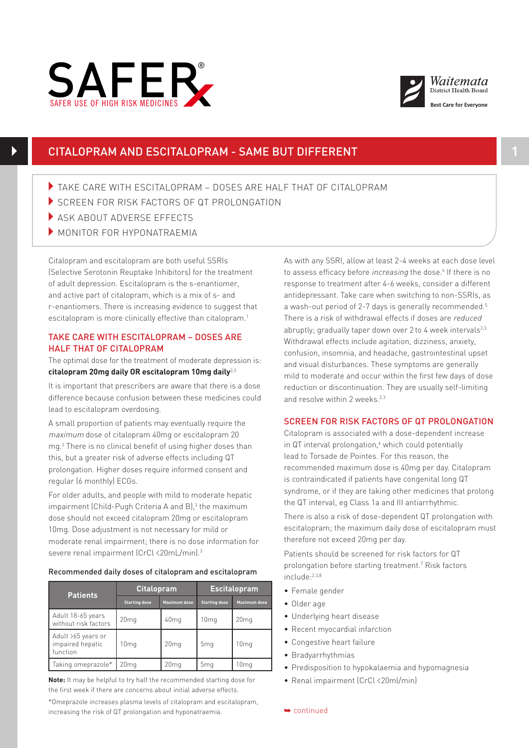



# CITALOPRAM AND ESCITALOPRAM - SAME BUT DIFFERENT **1**

- 4TAKE CARE WITH ESCITALOPRAM DOSES ARE HALF THAT OF CITALOPRAM
- SCREEN FOR RISK FACTORS OF QT PROLONGATION
- ASK ABOUT ADVERSE EFFECTS
- $\blacktriangleright$  MONITOR FOR HYPONATRAEMIA

Citalopram and escitalopram are both useful SSRIs (Selective Serotonin Reuptake Inhibitors) for the treatment of adult depression. Escitalopram is the s-enantiomer, and active part of citalopram, which is a mix of s- and r-enantiomers. There is increasing evidence to suggest that escitalopram is more clinically effective than citalopram.<sup>1</sup>

#### TAKE CARE WITH ESCITALOPRAM – DOSES ARE HALF THAT OF CITALOPRAM TALF ITAL OF CHALOF RAM

The optimal dose for the treatment of moderate depression is: **citalopram 20mg daily OR escitalopram 10mg daily**2,3

It is important that prescribers are aware that there is a dose difference because confusion between these medicines could lead to escitalopram overdosing.

A small proportion of patients may eventually require the maximum dose of citalopram 40mg or escitalopram 20 mg.2 There is no clinical benefit of using higher doses than this, but a greater risk of adverse effects including QT prolongation. Higher doses require informed consent and regular (6 monthly) ECGs.

For older adults, and people with mild to moderate hepatic impairment (Child-Pugh Criteria A and B),<sup>3</sup> the maximum dose should not exceed citalopram 20mg or escitalopram 10mg. Dose adjustment is not necessary for mild or moderate renal impairment; there is no dose information for severe renal impairment (CrCl <20mL/min).3

### Recommended daily doses of citalopram and escitalopram

| <b>Patients</b>                                    | <b>Citalopram</b>    |                     | <b>Escitalopram</b>  |                     |
|----------------------------------------------------|----------------------|---------------------|----------------------|---------------------|
|                                                    | <b>Starting dose</b> | <b>Maximum dose</b> | <b>Starting dose</b> | <b>Maximum dose</b> |
| Adult 18-65 years<br>without risk factors          | 20 <sub>mg</sub>     | 40 <sub>mg</sub>    | 10 <sub>mq</sub>     | 20 <sub>mg</sub>    |
| Adult >65 years or<br>impaired hepatic<br>function | 10 <sub>mq</sub>     | 20 <sub>mg</sub>    | 5 <sub>ma</sub>      | 10 <sub>mq</sub>    |
| Taking omeprazole*                                 | 20 <sub>mq</sub>     | 20mg                | 5 <sub>mg</sub>      | 10mg                |

**Note:** It may be helpful to try half the recommended starting dose for the first week if there are concerns about initial adverse effects.

\*Omeprazole increases plasma levels of citalopram and escitalopram, increasing the risk of QT prolongation and hyponatraemia.

As with any SSRI, allow at least 2-4 weeks at each dose level to assess efficacy before *increasing* the dose.<sup>4</sup> If there is no response to treatment after 4-6 weeks, consider a different antidepressant. Take care when switching to non-SSRIs, as a wash-out period of 2-7 days is generally recommended.5 There is a risk of withdrawal effects if doses are reduced abruptly; gradually taper down over 2 to 4 week intervals $2^{2,3}$ Withdrawal effects include agitation, dizziness, anxiety, confusion, insomnia, and headache, gastrointestinal upset and visual disturbances. These symptoms are generally mild to moderate and occur within the first few days of dose reduction or discontinuation. They are usually self-limiting and resolve within 2 weeks.<sup>2,3</sup>

## SCREEN FOR RISK FACTORS OF QT PROLONGATION

Citalopram is associated with a dose-dependent increase in QT interval prolongation,<sup>6</sup> which could potentially lead to Torsade de Pointes. For this reason, the recommended maximum dose is 40mg per day. Citalopram is contraindicated if patients have congenital long QT syndrome, or if they are taking other medicines that prolong the QT interval, eg Class 1a and III antiarrhythmic.

There is also a risk of dose-dependent QT prolongation with escitalopram; the maximum daily dose of escitalopram must therefore not exceed 20mg per day.

Patients should be screened for risk factors for QT prolongation before starting treatment.7 Risk factors include:2,3,8

- Female gender
- Older age
- Underlying heart disease
- Recent myocardial infarction
- Congestive heart failure
- Bradyarrhythmias
- Predisposition to hypokalaemia and hypomagnesia
- Renal impairment (CrCl <20ml/min)

➥ continued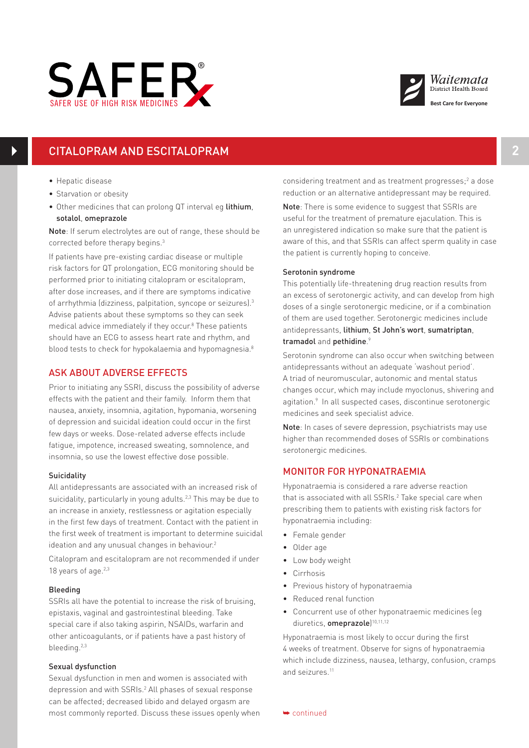



# CITALOPRAM AND ESCITALOPRAM **2**

- Hepatic disease
- Starvation or obesity
- Other medicines that can prolong QT interval eg lithium, sotalol, omeprazole

Note: If serum electrolytes are out of range, these should be corrected before therapy begins.3

If patients have pre-existing cardiac disease or multiple risk factors for QT prolongation, ECG monitoring should be performed prior to initiating citalopram or escitalopram, after dose increases, and if there are symptoms indicative of arrhythmia (dizziness, palpitation, syncope or seizures).3 Advise patients about these symptoms so they can seek medical advice immediately if they occur.<sup>8</sup> These patients should have an ECG to assess heart rate and rhythm, and blood tests to check for hypokalaemia and hypomagnesia. $^8$ 

## ASK ABOUT ADVERSE EFFECTS

Prior to initiating any SSRI, discuss the possibility of adverse effects with the patient and their family. Inform them that nausea, anxiety, insomnia, agitation, hypomania, worsening of depression and suicidal ideation could occur in the first few days or weeks. Dose-related adverse effects include fatigue, impotence, increased sweating, somnolence, and insomnia, so use the lowest effective dose possible.

### **Suicidality**

All antidepressants are associated with an increased risk of suicidality, particularly in young adults.<sup>2,3</sup> This may be due to an increase in anxiety, restlessness or agitation especially in the first few days of treatment. Contact with the patient in the first week of treatment is important to determine suicidal ideation and any unusual changes in behaviour.<sup>2</sup>

Citalopram and escitalopram are not recommended if under 18 years of age. $2,3$ 

#### Bleeding

SSRIs all have the potential to increase the risk of bruising, epistaxis, vaginal and gastrointestinal bleeding. Take special care if also taking aspirin, NSAIDs, warfarin and other anticoagulants, or if patients have a past history of bleeding.2,3

### Sexual dysfunction

Sexual dysfunction in men and women is associated with depression and with SSRIs.<sup>2</sup> All phases of sexual response can be affected; decreased libido and delayed orgasm are most commonly reported. Discuss these issues openly when

considering treatment and as treatment progresses;<sup>2</sup> a dose reduction or an alternative antidepressant may be required.

Note: There is some evidence to suggest that SSRIs are useful for the treatment of premature ejaculation. This is an unregistered indication so make sure that the patient is aware of this, and that SSRIs can affect sperm quality in case the patient is currently hoping to conceive.

### Serotonin syndrome

This potentially life-threatening drug reaction results from an excess of serotonergic activity, and can develop from high doses of a single serotonergic medicine, or if a combination of them are used together. Serotonergic medicines include antidepressants, lithium, St John's wort, sumatriptan, tramadol and pethidine.<sup>9</sup>

Serotonin syndrome can also occur when switching between antidepressants without an adequate 'washout period'. A triad of neuromuscular, autonomic and mental status changes occur, which may include myoclonus, shivering and agitation.<sup>9</sup> In all suspected cases, discontinue serotonergic medicines and seek specialist advice.

Note: In cases of severe depression, psychiatrists may use higher than recommended doses of SSRIs or combinations serotonergic medicines.

## MONITOR FOR HYPONATRAEMIA

Hyponatraemia is considered a rare adverse reaction that is associated with all SSRIs.<sup>2</sup> Take special care when prescribing them to patients with existing risk factors for hyponatraemia including:

- Female gender
- Older age
- Low body weight
- Cirrhosis
- Previous history of hyponatraemia
- Reduced renal function
- Concurrent use of other hyponatraemic medicines (eg diuretics, omeprazole)<sup>10,11,12</sup>

Hyponatraemia is most likely to occur during the first 4 weeks of treatment. Observe for signs of hyponatraemia which include dizziness, nausea, lethargy, confusion, cramps and seizures.11

➥ continued